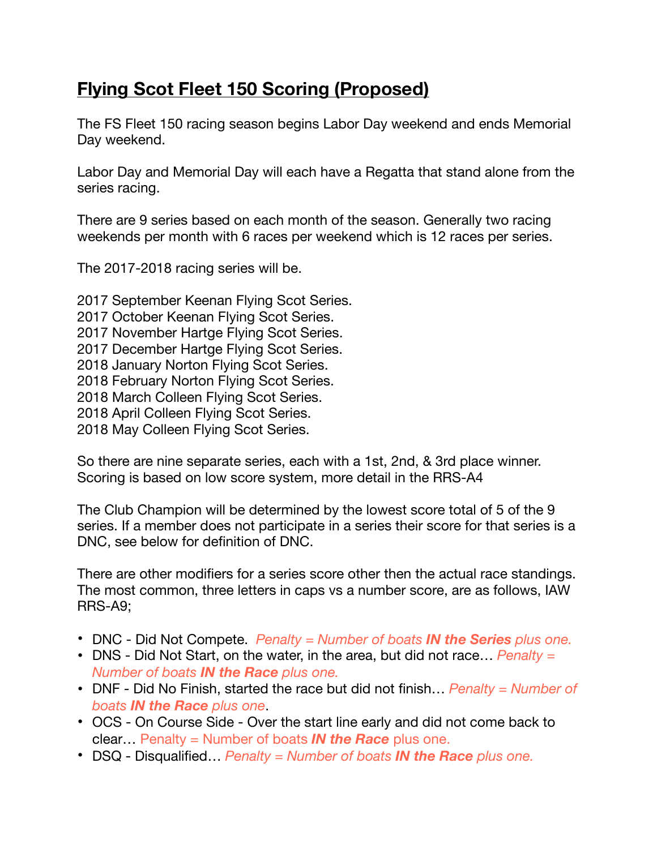## **Flying Scot Fleet 150 Scoring (Proposed)**

The FS Fleet 150 racing season begins Labor Day weekend and ends Memorial Day weekend.

Labor Day and Memorial Day will each have a Regatta that stand alone from the series racing.

There are 9 series based on each month of the season. Generally two racing weekends per month with 6 races per weekend which is 12 races per series.

The 2017-2018 racing series will be.

2017 September Keenan Flying Scot Series. 2017 October Keenan Flying Scot Series. 2017 November Hartge Flying Scot Series. 2017 December Hartge Flying Scot Series. 2018 January Norton Flying Scot Series. 2018 February Norton Flying Scot Series. 2018 March Colleen Flying Scot Series. 2018 April Colleen Flying Scot Series. 2018 May Colleen Flying Scot Series.

So there are nine separate series, each with a 1st, 2nd, & 3rd place winner. Scoring is based on low score system, more detail in the RRS-A4

The Club Champion will be determined by the lowest score total of 5 of the 9 series. If a member does not participate in a series their score for that series is a DNC, see below for definition of DNC.

There are other modifiers for a series score other then the actual race standings. The most common, three letters in caps vs a number score, are as follows, IAW RRS-A9;

- DNC Did Not Compete. *Penalty = Number of boats IN the Series plus one.*
- DNS Did Not Start, on the water, in the area, but did not race… *Penalty = Number of boats IN the Race plus one.*
- DNF Did No Finish, started the race but did not finish… *Penalty = Number of boats IN the Race plus one*.
- OCS On Course Side Over the start line early and did not come back to clear… Penalty = Number of boats *IN the Race* plus one.
- DSQ Disqualified… *Penalty = Number of boats IN the Race plus one.*